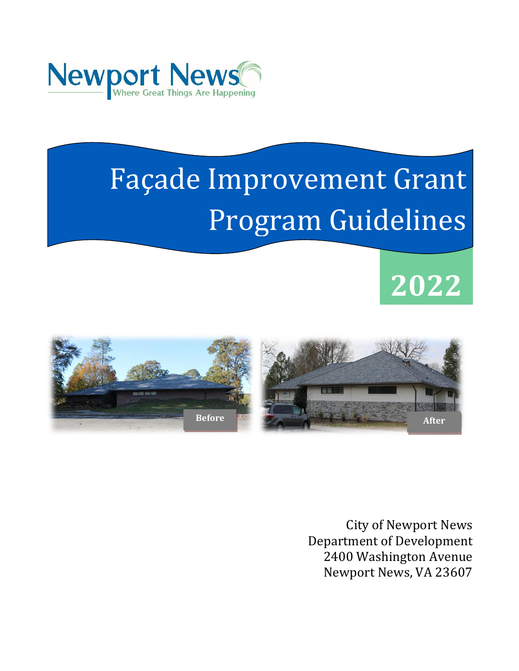

# undon.<br>Iinac Façade Improvement Grant Program Guidelines

# **2022**



City of Newport News Department of Development 2400 Washington Avenue Newport News, VA 23607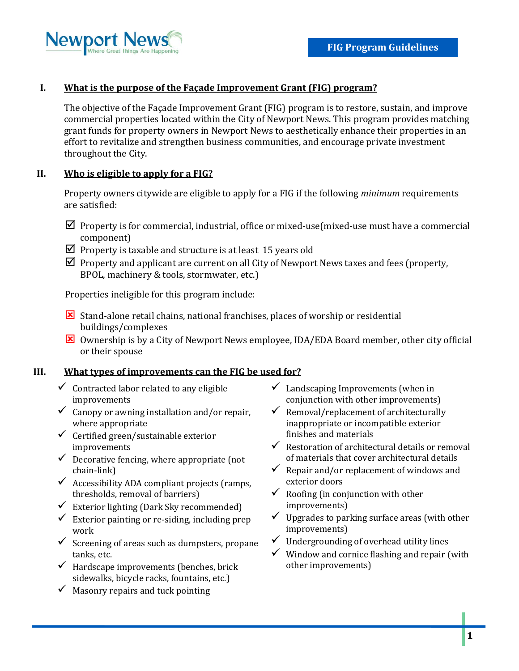

# **I. What is the purpose of the Façade Improvement Grant (FIG) program?**

The objective of the Façade Improvement Grant (FIG) program is to restore, sustain, and improve commercial properties located within the City of Newport News. This program provides matching grant funds for property owners in Newport News to aesthetically enhance their properties in an effort to revitalize and strengthen business communities, and encourage private investment throughout the City.

# **II. Who is eligible to apply for a FIG?**

Property owners citywide are eligible to apply for a FIG if the following *minimum* requirements are satisfied:

- $\boxtimes$  Property is for commercial, industrial, office or mixed-use(mixed-use must have a commercial component)
- $\boxtimes$  Property is taxable and structure is at least 15 years old
- $\boxtimes$  Property and applicant are current on all City of Newport News taxes and fees (property, BPOL, machinery & tools, stormwater, etc.)

Properties ineligible for this program include:

- Stand-alone retail chains, national franchises, places of worship or residential buildings/complexes
- Ownership is by a City of Newport News employee, IDA/EDA Board member, other city official or their spouse

#### **III. What types of improvements can the FIG be used for?**

- $\checkmark$  Contracted labor related to any eligible improvements
- $\checkmark$  Canopy or awning installation and/or repair, where appropriate
- $\checkmark$  Certified green/sustainable exterior improvements
- $\checkmark$  Decorative fencing, where appropriate (not chain-link)
- $\checkmark$  Accessibility ADA compliant projects (ramps, thresholds, removal of barriers)
- $\checkmark$  Exterior lighting (Dark Sky recommended)
- $\checkmark$  Exterior painting or re-siding, including prep work
- $\checkmark$  Screening of areas such as dumpsters, propane tanks, etc.
- $\checkmark$  Hardscape improvements (benches, brick sidewalks, bicycle racks, fountains, etc.)
- $\checkmark$  Masonry repairs and tuck pointing
- $\checkmark$  Landscaping Improvements (when in conjunction with other improvements)
- $\checkmark$  Removal/replacement of architecturally inappropriate or incompatible exterior finishes and materials
- $\checkmark$  Restoration of architectural details or removal of materials that cover architectural details
- $\checkmark$  Repair and/or replacement of windows and exterior doors
- $\checkmark$  Roofing (in conjunction with other improvements)
- $\checkmark$  Upgrades to parking surface areas (with other improvements)
- $\checkmark$  Undergrounding of overhead utility lines
- $\checkmark$  Window and cornice flashing and repair (with other improvements)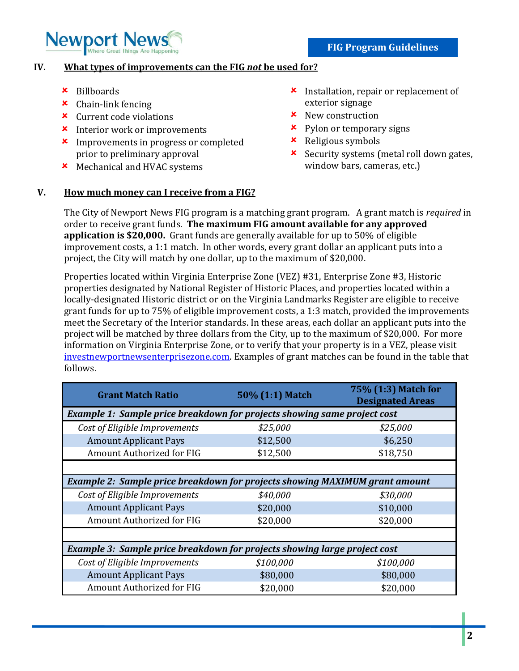

### **IV. What types of improvements can the FIG** *not* **be used for?**

- Billboards
- Chain-link fencing
- Current code violations
- **\*** Interior work or improvements
- **\*** Improvements in progress or completed prior to preliminary approval
- **\*** Mechanical and HVAC systems
- $\boldsymbol{\times}$  Installation, repair or replacement of exterior signage
- $\boldsymbol{\star}$  New construction
- $\boldsymbol{\star}$  Pylon or temporary signs
- Religious symbols
- **x** Security systems (metal roll down gates, window bars, cameras, etc.)

## **V. How much money can I receive from a FIG?**

The City of Newport News FIG program is a matching grant program. A grant match is *required* in order to receive grant funds. **The maximum FIG amount available for any approved application is \$20,000.** Grant funds are generally available for up to 50% of eligible improvement costs, a 1:1 match. In other words, every grant dollar an applicant puts into a project, the City will match by one dollar, up to the maximum of \$20,000.

Properties located within Virginia Enterprise Zone (VEZ) #31, Enterprise Zone #3, Historic properties designated by National Register of Historic Places, and properties located within a locally-designated Historic district or on the Virginia Landmarks Register are eligible to receive grant funds for up to 75% of eligible improvement costs, a 1:3 match, provided the improvements meet the Secretary of the Interior standards. In these areas, each dollar an applicant puts into the project will be matched by three dollars from the City, up to the maximum of \$20,000. For more information on Virginia Enterprise Zone, or to verify that your property is in a VEZ, please visit investnewportnewsenterprisezone.com. Examples of grant matches can be found in the table that follows.

| <b>Grant Match Ratio</b>                                                           | 50% (1:1) Match | 75% (1:3) Match for<br><b>Designated Areas</b> |
|------------------------------------------------------------------------------------|-----------------|------------------------------------------------|
| Example 1: Sample price breakdown for projects showing same project cost           |                 |                                                |
| Cost of Eligible Improvements                                                      | \$25,000        | \$25,000                                       |
| <b>Amount Applicant Pays</b>                                                       | \$12,500        | \$6,250                                        |
| Amount Authorized for FIG                                                          | \$12,500        | \$18,750                                       |
|                                                                                    |                 |                                                |
| <b>Example 2: Sample price breakdown for projects showing MAXIMUM grant amount</b> |                 |                                                |
| Cost of Eligible Improvements                                                      | \$40,000        | \$30,000                                       |
| <b>Amount Applicant Pays</b>                                                       | \$20,000        | \$10,000                                       |
| Amount Authorized for FIG                                                          | \$20,000        | \$20,000                                       |
|                                                                                    |                 |                                                |
| Example 3: Sample price breakdown for projects showing large project cost          |                 |                                                |
| Cost of Eligible Improvements                                                      | \$100,000       | \$100,000                                      |
| <b>Amount Applicant Pays</b>                                                       | \$80,000        | \$80,000                                       |
| Amount Authorized for FIG                                                          | \$20,000        | \$20,000                                       |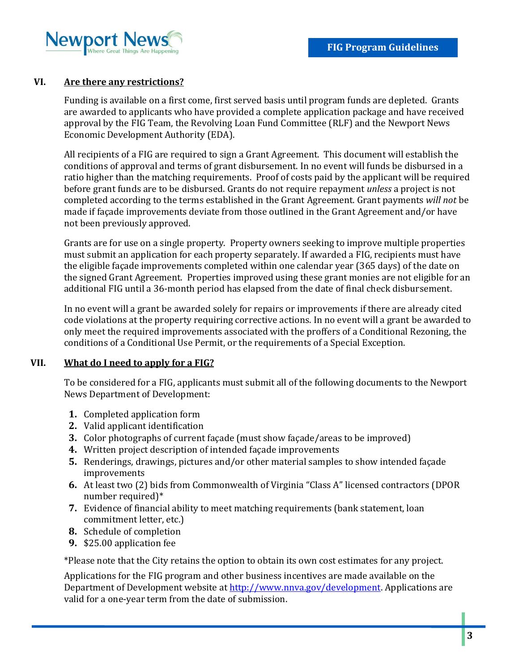

### **VI. Are there any restrictions?**

Funding is available on a first come, first served basis until program funds are depleted. Grants are awarded to applicants who have provided a complete application package and have received approval by the FIG Team, the Revolving Loan Fund Committee (RLF) and the Newport News Economic Development Authority (EDA).

All recipients of a FIG are required to sign a Grant Agreement. This document will establish the conditions of approval and terms of grant disbursement. In no event will funds be disbursed in a ratio higher than the matching requirements. Proof of costs paid by the applicant will be required before grant funds are to be disbursed. Grants do not require repayment *unless* a project is not completed according to the terms established in the Grant Agreement. Grant payments *will not* be made if façade improvements deviate from those outlined in the Grant Agreement and/or have not been previously approved.

Grants are for use on a single property. Property owners seeking to improve multiple properties must submit an application for each property separately. If awarded a FIG, recipients must have the eligible façade improvements completed within one calendar year (365 days) of the date on the signed Grant Agreement. Properties improved using these grant monies are not eligible for an additional FIG until a 36-month period has elapsed from the date of final check disbursement.

In no event will a grant be awarded solely for repairs or improvements if there are already cited code violations at the property requiring corrective actions. In no event will a grant be awarded to only meet the required improvements associated with the proffers of a Conditional Rezoning, the conditions of a Conditional Use Permit, or the requirements of a Special Exception.

#### **VII. What do I need to apply for a FIG?**

To be considered for a FIG, applicants must submit all of the following documents to the Newport News Department of Development:

- **1.** Completed application form
- **2.** Valid applicant identification
- **3.** Color photographs of current façade (must show façade/areas to be improved)
- **4.** Written project description of intended façade improvements
- **5.** Renderings, drawings, pictures and/or other material samples to show intended façade improvements
- **6.** At least two (2) bids from Commonwealth of Virginia "Class A" licensed contractors (DPOR number required)\*
- **7.** Evidence of financial ability to meet matching requirements (bank statement, loan commitment letter, etc.)
- **8.** Schedule of completion
- **9.** \$25.00 application fee

\*Please note that the City retains the option to obtain its own cost estimates for any project.

Applications for the FIG program and other business incentives are made available on the Department of Development website at [http://www.nnva.gov/development.](http://www.nnva.gov/development) Applications are valid for a one-year term from the date of submission.